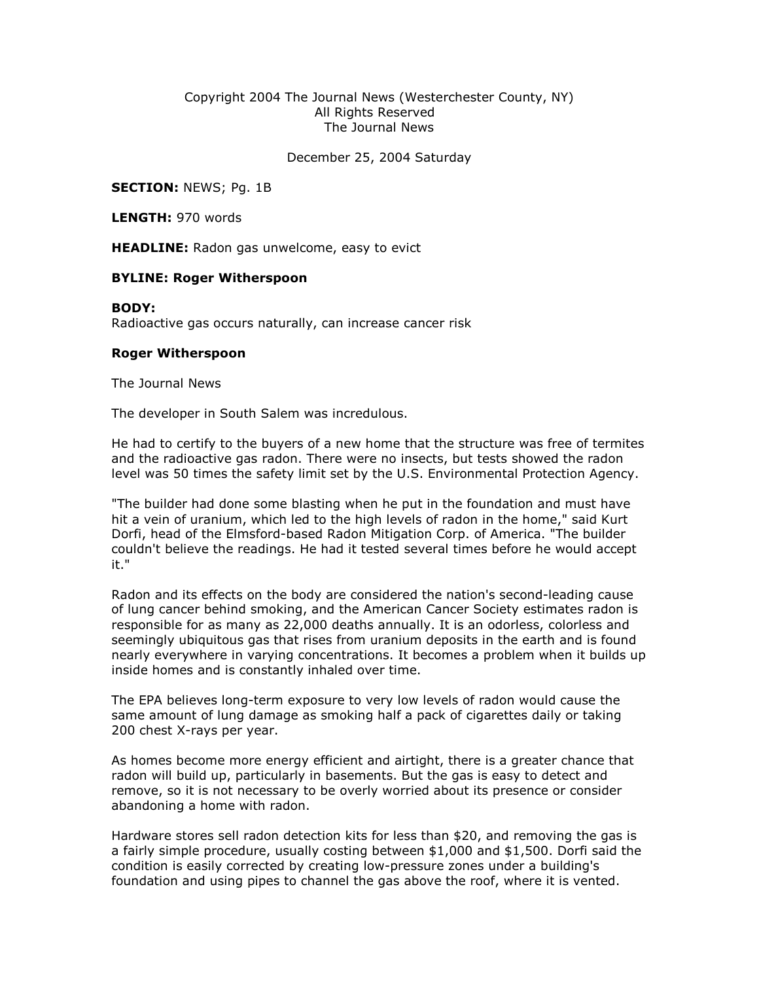## Copyright 2004 The Journal News (Westerchester County, NY) All Rights Reserved The Journal News

December 25, 2004 Saturday

**SECTION: NEWS; Pg. 1B** 

LENGTH: 970 words

**HEADLINE:** Radon gas unwelcome, easy to evict

## BYLINE: Roger Witherspoon

## BODY:

Radioactive gas occurs naturally, can increase cancer risk

## Roger Witherspoon

The Journal News

The developer in South Salem was incredulous.

He had to certify to the buyers of a new home that the structure was free of termites and the radioactive gas radon. There were no insects, but tests showed the radon level was 50 times the safety limit set by the U.S. Environmental Protection Agency.

"The builder had done some blasting when he put in the foundation and must have hit a vein of uranium, which led to the high levels of radon in the home," said Kurt Dorfi, head of the Elmsford-based Radon Mitigation Corp. of America. "The builder couldn't believe the readings. He had it tested several times before he would accept it."

Radon and its effects on the body are considered the nation's second-leading cause of lung cancer behind smoking, and the American Cancer Society estimates radon is responsible for as many as 22,000 deaths annually. It is an odorless, colorless and seemingly ubiquitous gas that rises from uranium deposits in the earth and is found nearly everywhere in varying concentrations. It becomes a problem when it builds up inside homes and is constantly inhaled over time.

The EPA believes long-term exposure to very low levels of radon would cause the same amount of lung damage as smoking half a pack of cigarettes daily or taking 200 chest X-rays per year.

As homes become more energy efficient and airtight, there is a greater chance that radon will build up, particularly in basements. But the gas is easy to detect and remove, so it is not necessary to be overly worried about its presence or consider abandoning a home with radon.

Hardware stores sell radon detection kits for less than \$20, and removing the gas is a fairly simple procedure, usually costing between \$1,000 and \$1,500. Dorfi said the condition is easily corrected by creating low-pressure zones under a building's foundation and using pipes to channel the gas above the roof, where it is vented.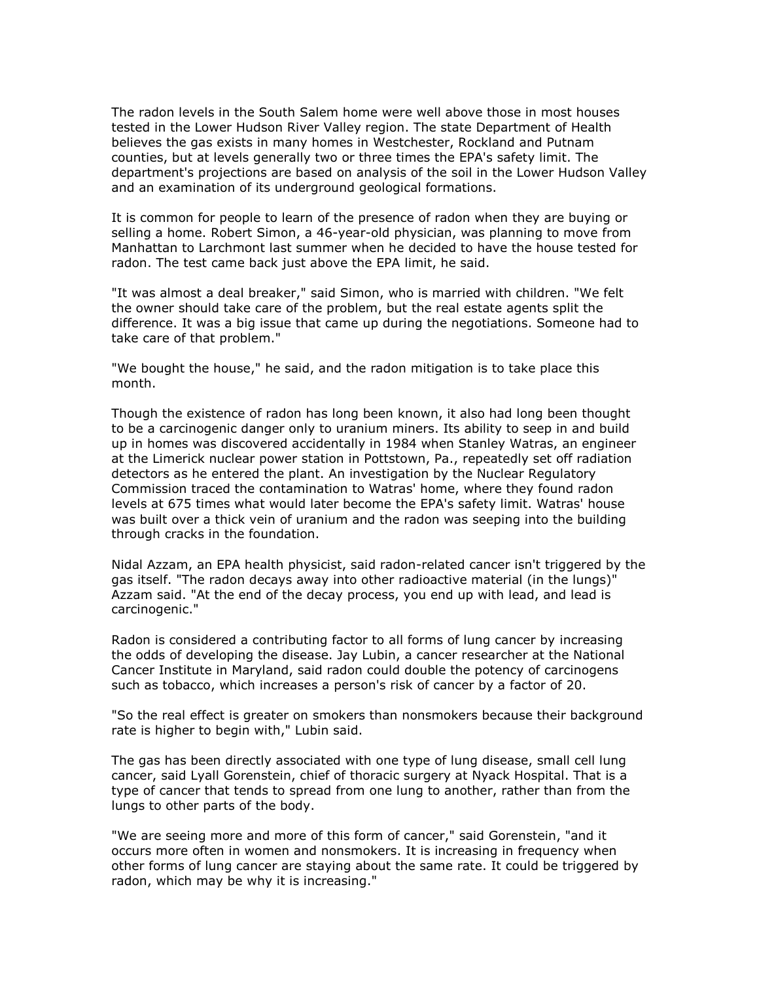The radon levels in the South Salem home were well above those in most houses tested in the Lower Hudson River Valley region. The state Department of Health believes the gas exists in many homes in Westchester, Rockland and Putnam counties, but at levels generally two or three times the EPA's safety limit. The department's projections are based on analysis of the soil in the Lower Hudson Valley and an examination of its underground geological formations.

It is common for people to learn of the presence of radon when they are buying or selling a home. Robert Simon, a 46-year-old physician, was planning to move from Manhattan to Larchmont last summer when he decided to have the house tested for radon. The test came back just above the EPA limit, he said.

"It was almost a deal breaker," said Simon, who is married with children. "We felt the owner should take care of the problem, but the real estate agents split the difference. It was a big issue that came up during the negotiations. Someone had to take care of that problem."

"We bought the house," he said, and the radon mitigation is to take place this month.

Though the existence of radon has long been known, it also had long been thought to be a carcinogenic danger only to uranium miners. Its ability to seep in and build up in homes was discovered accidentally in 1984 when Stanley Watras, an engineer at the Limerick nuclear power station in Pottstown, Pa., repeatedly set off radiation detectors as he entered the plant. An investigation by the Nuclear Regulatory Commission traced the contamination to Watras' home, where they found radon levels at 675 times what would later become the EPA's safety limit. Watras' house was built over a thick vein of uranium and the radon was seeping into the building through cracks in the foundation.

Nidal Azzam, an EPA health physicist, said radon-related cancer isn't triggered by the gas itself. "The radon decays away into other radioactive material (in the lungs)" Azzam said. "At the end of the decay process, you end up with lead, and lead is carcinogenic."

Radon is considered a contributing factor to all forms of lung cancer by increasing the odds of developing the disease. Jay Lubin, a cancer researcher at the National Cancer Institute in Maryland, said radon could double the potency of carcinogens such as tobacco, which increases a person's risk of cancer by a factor of 20.

"So the real effect is greater on smokers than nonsmokers because their background rate is higher to begin with," Lubin said.

The gas has been directly associated with one type of lung disease, small cell lung cancer, said Lyall Gorenstein, chief of thoracic surgery at Nyack Hospital. That is a type of cancer that tends to spread from one lung to another, rather than from the lungs to other parts of the body.

"We are seeing more and more of this form of cancer," said Gorenstein, "and it occurs more often in women and nonsmokers. It is increasing in frequency when other forms of lung cancer are staying about the same rate. It could be triggered by radon, which may be why it is increasing."